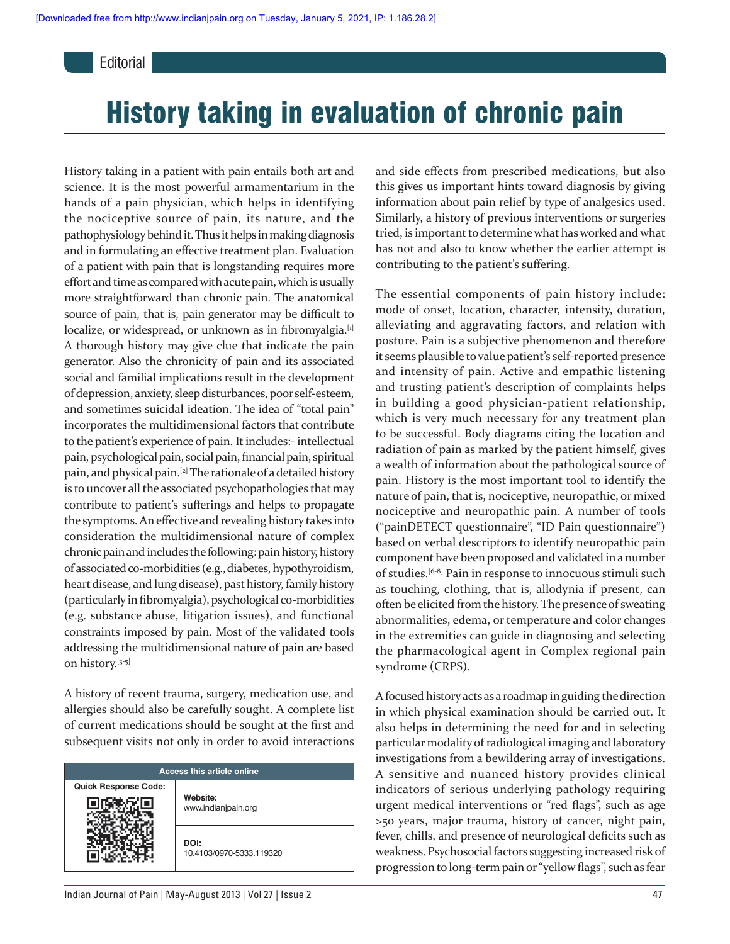**Editorial** 

# History taking in evaluation of chronic pain

History taking in a patient with pain entails both art and science. It is the most powerful armamentarium in the hands of a pain physician, which helps in identifying the nociceptive source of pain, its nature, and the pathophysiology behind it. Thus it helps in making diagnosis and in formulating an effective treatment plan. Evaluation of a patient with pain that is longstanding requires more effort and time as compared with acute pain, which is usually more straightforward than chronic pain. The anatomical source of pain, that is, pain generator may be difficult to localize, or widespread, or unknown as in fibromyalgia.<sup>[1]</sup> A thorough history may give clue that indicate the pain generator. Also the chronicity of pain and its associated social and familial implications result in the development of depression, anxiety, sleep disturbances, poor self-esteem, and sometimes suicidal ideation. The idea of "total pain" incorporates the multidimensional factors that contribute to the patient's experience of pain. It includes:- intellectual pain, psychological pain, social pain, financial pain, spiritual pain, and physical pain.[2] The rationale of a detailed history is to uncover all the associated psychopathologies that may contribute to patient's sufferings and helps to propagate the symptoms. An effective and revealing history takes into consideration the multidimensional nature of complex chronic pain and includes the following: pain history, history of associated co-morbidities (e.g., diabetes, hypothyroidism, heart disease, and lung disease), past history, family history (particularly in fibromyalgia), psychological co-morbidities (e.g. substance abuse, litigation issues), and functional constraints imposed by pain. Most of the validated tools addressing the multidimensional nature of pain are based on history.[3-5]

A history of recent trauma, surgery, medication use, and allergies should also be carefully sought. A complete list of current medications should be sought at the first and subsequent visits not only in order to avoid interactions

| <b>Access this article online</b> |                                  |
|-----------------------------------|----------------------------------|
| <b>Quick Response Code:</b>       | Website:<br>www.indianjpain.org  |
|                                   | DOI:<br>10.4103/0970-5333.119320 |

and side effects from prescribed medications, but also this gives us important hints toward diagnosis by giving information about pain relief by type of analgesics used. Similarly, a history of previous interventions or surgeries tried, is important to determine what has worked and what has not and also to know whether the earlier attempt is contributing to the patient's suffering.

The essential components of pain history include: mode of onset, location, character, intensity, duration, alleviating and aggravating factors, and relation with posture. Pain is a subjective phenomenon and therefore it seems plausible to value patient's self-reported presence and intensity of pain. Active and empathic listening and trusting patient's description of complaints helps in building a good physician-patient relationship, which is very much necessary for any treatment plan to be successful. Body diagrams citing the location and radiation of pain as marked by the patient himself, gives a wealth of information about the pathological source of pain. History is the most important tool to identify the nature of pain, that is, nociceptive, neuropathic, or mixed nociceptive and neuropathic pain. A number of tools ("painDETECT questionnaire", "ID Pain questionnaire") based on verbal descriptors to identify neuropathic pain component have been proposed and validated in a number of studies.[6-8] Pain in response to innocuous stimuli such as touching, clothing, that is, allodynia if present, can often be elicited from the history. The presence of sweating abnormalities, edema, or temperature and color changes in the extremities can guide in diagnosing and selecting the pharmacological agent in Complex regional pain syndrome (CRPS).

A focused history acts as a roadmap in guiding the direction in which physical examination should be carried out. It also helps in determining the need for and in selecting particular modality of radiological imaging and laboratory investigations from a bewildering array of investigations. A sensitive and nuanced history provides clinical indicators of serious underlying pathology requiring urgent medical interventions or "red flags", such as age >50 years, major trauma, history of cancer, night pain, fever, chills, and presence of neurological deficits such as weakness. Psychosocial factors suggesting increased risk of progression to long-term pain or "yellow flags", such as fear